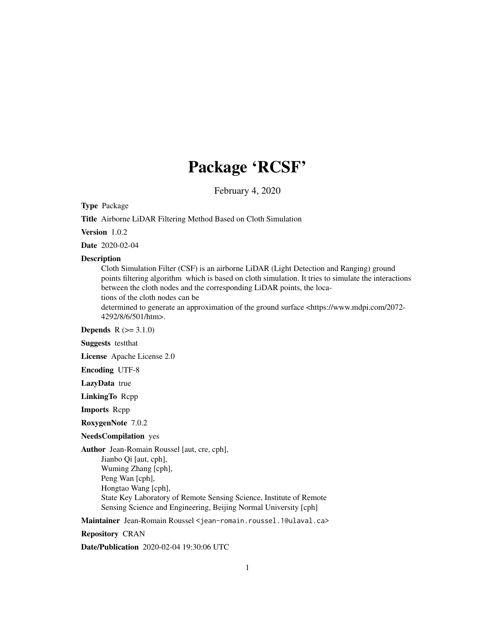## Package 'RCSF'

February 4, 2020

Type Package

Title Airborne LiDAR Filtering Method Based on Cloth Simulation

Version 1.0.2

Date 2020-02-04

#### Description

Cloth Simulation Filter (CSF) is an airborne LiDAR (Light Detection and Ranging) ground points filtering algorithm which is based on cloth simulation. It tries to simulate the interactions between the cloth nodes and the corresponding LiDAR points, the locations of the cloth nodes can be determined to generate an approximation of the ground surface <https://www.mdpi.com/2072-

4292/8/6/501/htm>.

**Depends**  $R (= 3.1.0)$ 

Suggests testthat

License Apache License 2.0

Encoding UTF-8

LazyData true

LinkingTo Rcpp

Imports Rcpp

RoxygenNote 7.0.2

#### NeedsCompilation yes

Author Jean-Romain Roussel [aut, cre, cph],

Jianbo Qi [aut, cph], Wuming Zhang [cph], Peng Wan [cph], Hongtao Wang [cph], State Key Laboratory of Remote Sensing Science, Institute of Remote Sensing Science and Engineering, Beijing Normal University [cph]

Maintainer Jean-Romain Roussel <jean-romain.roussel.1@ulaval.ca>

Repository CRAN

Date/Publication 2020-02-04 19:30:06 UTC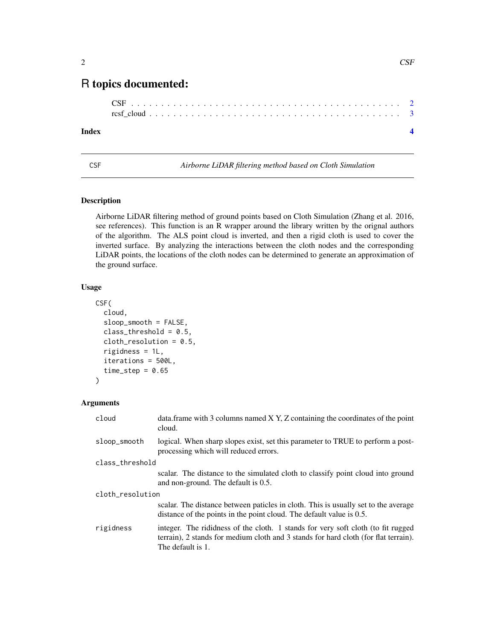### <span id="page-1-0"></span>R topics documented:

#### **Index** [4](#page-3-0)

CSF *Airborne LiDAR filtering method based on Cloth Simulation*

#### Description

Airborne LiDAR filtering method of ground points based on Cloth Simulation (Zhang et al. 2016, see references). This function is an R wrapper around the library written by the orignal authors of the algorithm. The ALS point cloud is inverted, and then a rigid cloth is used to cover the inverted surface. By analyzing the interactions between the cloth nodes and the corresponding LiDAR points, the locations of the cloth nodes can be determined to generate an approximation of the ground surface.

#### Usage

```
CSF(
cloud,
sloop_smooth = FALSE,
class_{threshold} = 0.5,
cloth\_resolution = 0.5,
rigidness = 1L,
iterations = 500L,
time\_step = 0.65)
```
#### Arguments

| cloud            | data. frame with 3 columns named $X$ $Y$ , $Z$ containing the coordinates of the point<br>cloud.                                                                                             |
|------------------|----------------------------------------------------------------------------------------------------------------------------------------------------------------------------------------------|
| sloop_smooth     | logical. When sharp slopes exist, set this parameter to TRUE to perform a post-<br>processing which will reduced errors.                                                                     |
| class_threshold  |                                                                                                                                                                                              |
|                  | scalar. The distance to the simulated cloth to classify point cloud into ground<br>and non-ground. The default is 0.5.                                                                       |
| cloth resolution |                                                                                                                                                                                              |
|                  | scalar. The distance between paticles in cloth. This is usually set to the average<br>distance of the points in the point cloud. The default value is 0.5.                                   |
| rigidness        | integer. The rididness of the cloth. 1 stands for very soft cloth (to fit rugged<br>terrain), 2 stands for medium cloth and 3 stands for hard cloth (for flat terrain).<br>The default is 1. |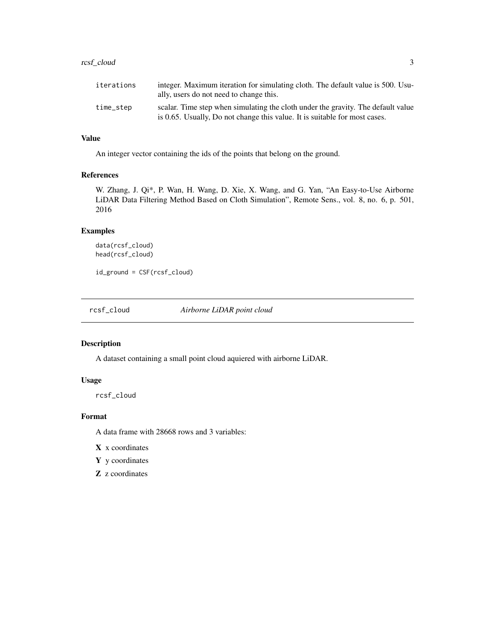#### <span id="page-2-0"></span>rcsf\_cloud 3

| <b>1888818</b> | michel with hold to community with the community of the community of the community of the community of the community of the community of the community of the community of the community of the community of the community of<br>ally, users do not need to change this. |
|----------------|--------------------------------------------------------------------------------------------------------------------------------------------------------------------------------------------------------------------------------------------------------------------------|
| time_step      | scalar. Time step when simulating the cloth under the gravity. The default value                                                                                                                                                                                         |
|                | is 0.65. Usually, Do not change this value. It is suitable for most cases.                                                                                                                                                                                               |

#### Value

An integer vector containing the ids of the points that belong on the ground.

#### References

W. Zhang, J. Qi\*, P. Wan, H. Wang, D. Xie, X. Wang, and G. Yan, "An Easy-to-Use Airborne LiDAR Data Filtering Method Based on Cloth Simulation", Remote Sens., vol. 8, no. 6, p. 501, 2016

#### Examples

data(rcsf\_cloud) head(rcsf\_cloud)

id\_ground = CSF(rcsf\_cloud)

rcsf\_cloud *Airborne LiDAR point cloud*

#### Description

A dataset containing a small point cloud aquiered with airborne LiDAR.

#### Usage

rcsf\_cloud

#### Format

A data frame with 28668 rows and 3 variables:

X x coordinates

Y y coordinates

Z z coordinates